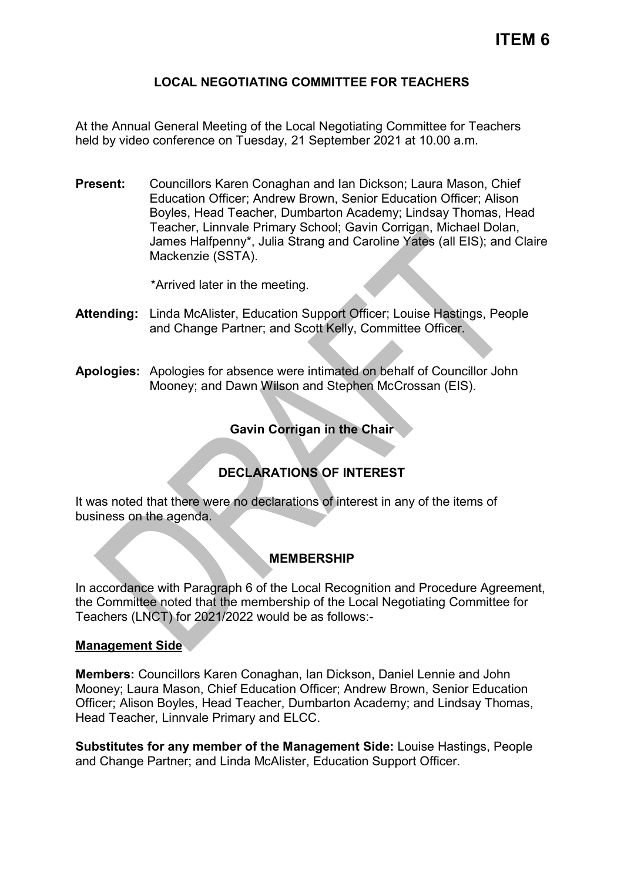### **LOCAL NEGOTIATING COMMITTEE FOR TEACHERS**

At the Annual General Meeting of the Local Negotiating Committee for Teachers held by video conference on Tuesday, 21 September 2021 at 10.00 a.m.

**Present:** Councillors Karen Conaghan and Ian Dickson; Laura Mason, Chief Education Officer; Andrew Brown, Senior Education Officer; Alison Boyles, Head Teacher, Dumbarton Academy; Lindsay Thomas, Head Teacher, Linnvale Primary School; Gavin Corrigan, Michael Dolan, James Halfpenny\*, Julia Strang and Caroline Yates (all EIS); and Claire Mackenzie (SSTA).

\*Arrived later in the meeting.

- **Attending:** Linda McAlister, Education Support Officer; Louise Hastings, People and Change Partner; and Scott Kelly, Committee Officer.
- **Apologies:** Apologies for absence were intimated on behalf of Councillor John Mooney; and Dawn Wilson and Stephen McCrossan (EIS).

## **Gavin Corrigan in the Chair**

# **DECLARATIONS OF INTEREST**

It was noted that there were no declarations of interest in any of the items of business on the agenda.

#### **MEMBERSHIP**

In accordance with Paragraph 6 of the Local Recognition and Procedure Agreement, the Committee noted that the membership of the Local Negotiating Committee for Teachers (LNCT) for 2021/2022 would be as follows:-

#### **Management Side**

**Members:** Councillors Karen Conaghan, Ian Dickson, Daniel Lennie and John Mooney; Laura Mason, Chief Education Officer; Andrew Brown, Senior Education Officer; Alison Boyles, Head Teacher, Dumbarton Academy; and Lindsay Thomas, Head Teacher, Linnvale Primary and ELCC.

**Substitutes for any member of the Management Side:** Louise Hastings, People and Change Partner; and Linda McAlister, Education Support Officer.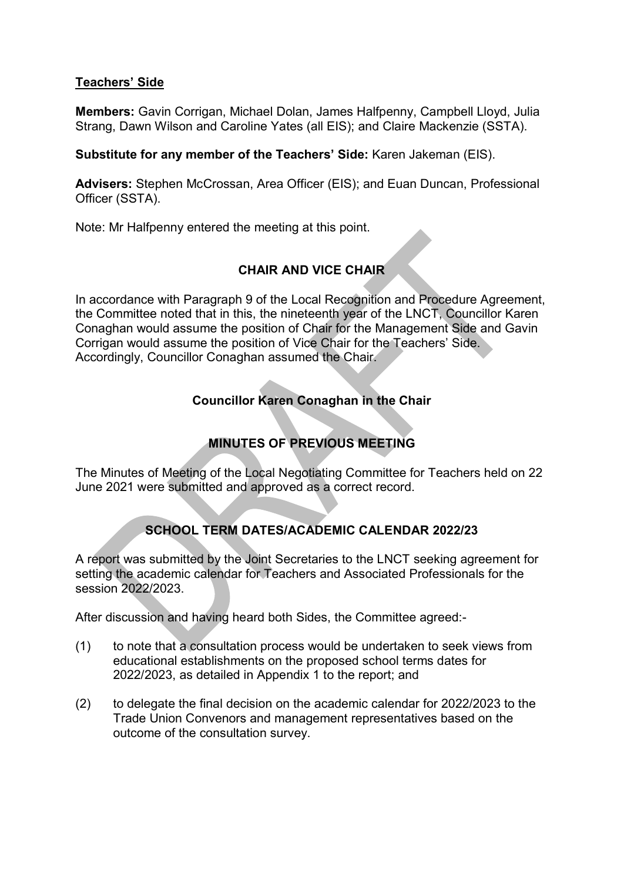#### **Teachers' Side**

**Members:** Gavin Corrigan, Michael Dolan, James Halfpenny, Campbell Lloyd, Julia Strang, Dawn Wilson and Caroline Yates (all EIS); and Claire Mackenzie (SSTA).

**Substitute for any member of the Teachers' Side:** Karen Jakeman (EIS).

**Advisers:** Stephen McCrossan, Area Officer (EIS); and Euan Duncan, Professional Officer (SSTA).

Note: Mr Halfpenny entered the meeting at this point.

## **CHAIR AND VICE CHAIR**

In accordance with Paragraph 9 of the Local Recognition and Procedure Agreement, the Committee noted that in this, the nineteenth year of the LNCT, Councillor Karen Conaghan would assume the position of Chair for the Management Side and Gavin Corrigan would assume the position of Vice Chair for the Teachers' Side. Accordingly, Councillor Conaghan assumed the Chair.

# **Councillor Karen Conaghan in the Chair**

# **MINUTES OF PREVIOUS MEETING**

The Minutes of Meeting of the Local Negotiating Committee for Teachers held on 22 June 2021 were submitted and approved as a correct record.

# **SCHOOL TERM DATES/ACADEMIC CALENDAR 2022/23**

A report was submitted by the Joint Secretaries to the LNCT seeking agreement for setting the academic calendar for Teachers and Associated Professionals for the session 2022/2023.

After discussion and having heard both Sides, the Committee agreed:-

- (1) to note that a consultation process would be undertaken to seek views from educational establishments on the proposed school terms dates for 2022/2023, as detailed in Appendix 1 to the report; and
- (2) to delegate the final decision on the academic calendar for 2022/2023 to the Trade Union Convenors and management representatives based on the outcome of the consultation survey.